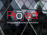# integrated business solutions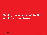# **Getting the most out of the BI Applications at Arriva**

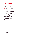#### **Introduction**

- What does this presentation cover?
	- Initial situation
	- First steps
	- Long term solution
	- Current situation
	- Working with On Demand
- Who are Prōject?
- Who are Arriva?
- Presenter introduction

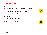# **Initial situation**

- **Successes** 
	- BI Apps Financials, Procurement and Spend implemented
	- Custom EAM and Inventory modules
	- Extensive report development in Financials
	- Approx 350 active users
- Challenges
	- Growing list of requirements
	- Slow uptake of Financial Analytics
	- Gaps in Procurement Analysis
	- Methodology



 $\bullet$ 

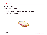#### **First steps**

- Initial BI Health Check
- 5 Day On-Site engagement to:
	- Review BI Infrastructure
	- Review Business Process for delivery of BI development
	- Review outstanding requirements
- The results of this drove further recommendations



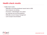#### **Health check results**

- Health check results
	- Difficulties reconciling dashboard reports back to EBS
	- Some features not working
	- Processes / methodologies not in place
	- No corporate look and feel guidelines
	- Difficulties around change management
	- Lack of proper documentation

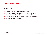### **Long term actions**

- Approach taken
	- 1. Resolve issues perform a reconciliation and installation review
	- 2. Manage Provide BI project management skills
	- 3. Develop Create a framework for the developers to follow
	- 4. Train Ensure Arriva employees have suitable skills for their roles
	- 5. Recruit Assist with the recruitment of suitable BI skilled personnel
	- 6. Support Provide expert support

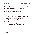#### **Resolve issues - reconciliation**

- Performed to identify possible sources of existing issues
- Limited to Procurement and Spend only
- Data warehouse was reconciled to EBS source
- Over 6 million records reconciled
- Issues found:
	- No "Unspecified" record in project dimension hierarchy
	- Fact tables containing NULL foreign keys
	- Circular joins in the RPD
	- W\_EXPENSE\_F empty
	- X\_CUSTOM column populated
	- Data corruption in E-Business Suite

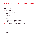#### **Resolve issues - installation review**

- 5 Day technical review including:
	- Database setup
	- General server settings
	- OBIEE
	- Weblogic
	- Informatica
	- DAC
	- Source independent configuration
	- EBS specific configuration
	- Procurement and Spend configuration

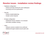## **Resolve issues - installation review findings**

- Database configuration
	- Indexes and data sharing the same tablespace
	- Incorrectly set init.ora parameters
- Security
	- Policies needed tightening
	- Greater control required
- BI Apps configuration
	- Initialisation blocks needed to be reviewed
	- Informatica variables missing
- **Other** 
	- Software versions needed to be confirmed
	- Additional thought needed around audit rules

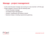#### **Manage - project management**

- As the main BI project manager was moving on it was essential to fill this gap
- Prōject supplied a resource with the following skills:
	- Proven BI project manager
	- Accredited Project Management
	- Answers, Dashboards and Delivers trained
	- Business Analyst, including requirements gathering

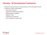## **Develop - BI Development Framework**

- Required to add processes and best practice to the BI development team
- Consists of a series of documents:
	- Framework Overview
	- Requirement Gathering Guidelines
	- Implementation Guidelines
	- Migration Guide
	- Corporate Look and Feel
	- User Acceptance Testing Guide

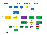#### **Develop - Framework Overview - Bestign**



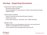# **Develop - Supporting Documents**

- Requirements Gathering Guidelines
	- Described existing methods
	- Recommendations for new processes to follow using existing technology (support system)
- **Implementation Guidelines** 
	- Guide for technical and functional BI Apps developers
	- Details best practice
	- Covers data warehouse, Informatica. DAC, OBIEE repository
- Migration Guide
	- Details on how to move development work from one environment to another e.g. Development to test to production
	- Covers all parts of the technology stack required for BI

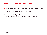# **Develop - Supporting Documents**

- Corporate Look and Feel
	- Details what aspects should be considered when creating a look and feel
	- Includes information on visualisation
	- Does not dictate what the look and feel should be
- User Acceptance Testing Guide
	- Details of best practice to be adopted during UAT phase of the development process

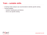#### **Train – suitable skills**

- A training needs analysis was recommended to identify specific training
- Training supplied:
	- Answers, Dashboards and Delivers
	- One to one specific training

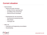# **Current situation**

- **Improvements** 
	- Improve the team structure
		- Employ full time reporting lead
		- Up-skilling of the virtual team
		- Hired full time BI Developer
	- Emphasising the new processes
		- Involving and empowering team
		- Pilot phases
		- Thorough UAT
- Still to do
	- Financials and Engineering reconciliation
	- Housekeeping

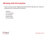# **Working with third parties**

- From our work at Arriva, Prōject recommend that the following core areas are addressed when working with third parties
	- Planning
	- Communication
	- Co-ordination
	- Relationships
	- Documentation